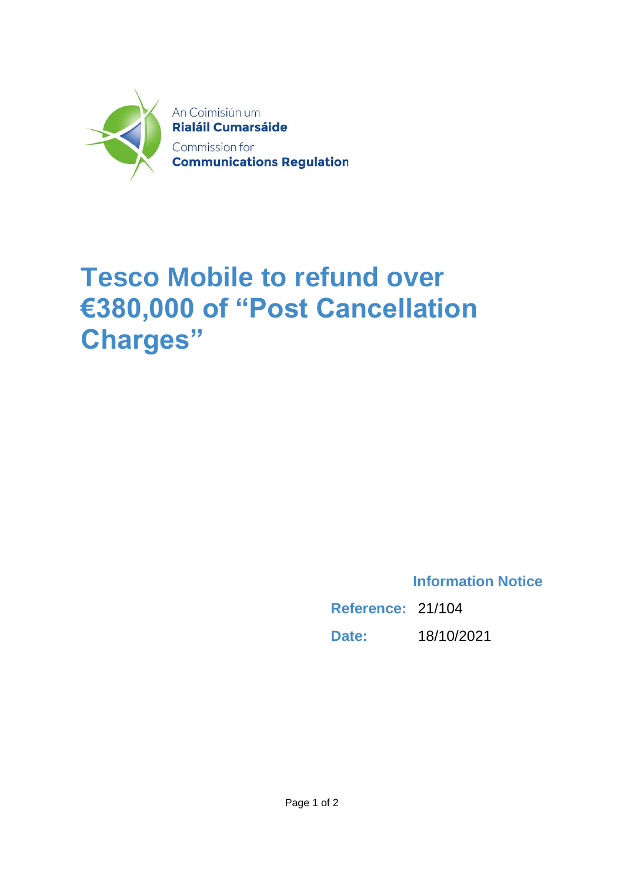

## **Tesco Mobile to refund over €380,000 of "Post Cancellation Charges"**

**Information Notice**

**Reference:** 21/104 **Date:** 18/10/2021